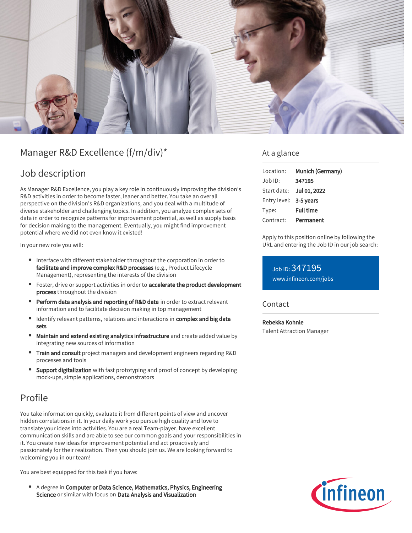

# Manager R&D Excellence (f/m/div)\*

### Job description

As Manager R&D Excellence, you play a key role in continuously improving the division's R&D activities in order to become faster, leaner and better. You take an overall perspective on the division's R&D organizations, and you deal with a multitude of diverse stakeholder and challenging topics. In addition, you analyze complex sets of data in order to recognize patterns for improvement potential, as well as supply basis for decision making to the management. Eventually, you might find improvement potential where we did not even know it existed!

In your new role you will:

- Interface with different stakeholder throughout the corporation in order to facilitate and improve complex R&D processes (e.g., Product Lifecycle Management), representing the interests of the division
- **•** Foster, drive or support activities in order to accelerate the product development process throughout the division
- **Perform data analysis and reporting of R&D data** in order to extract relevant information and to facilitate decision making in top management
- Identify relevant patterns, relations and interactions in complex and big data sets
- Maintain and extend existing analytics infrastructure and create added value by integrating new sources of information
- **Train and consult** project managers and development engineers regarding R&D processes and tools
- Support digitalization with fast prototyping and proof of concept by developing mock-ups, simple applications, demonstrators

### Profile

You take information quickly, evaluate it from different points of view and uncover hidden correlations in it. In your daily work you pursue high quality and love to translate your ideas into activities. You are a real Team-player, have excellent communication skills and are able to see our common goals and your responsibilities in it. You create new ideas for improvement potential and act proactively and passionately for their realization. Then you should join us. We are looking forward to welcoming you in our team!

You are best equipped for this task if you have:

A degree in Computer or Data Science, Mathematics, Physics, Engineering Science or similar with focus on Data Analysis and Visualization

### At a glance

| Location:              | Munich (Germany)         |
|------------------------|--------------------------|
| $Job$ ID:              | 347195                   |
|                        | Start date: Jul 01, 2022 |
| Entry level: 3-5 years |                          |
| Type:                  | <b>Full time</b>         |
| Contract:              | Permanent                |

Apply to this position online by following the URL and entering the Job ID in our job search:

Job ID: 347195 [www.infineon.com/jobs](https://www.infineon.com/jobs)

#### **Contact**

Rebekka Kohnle Talent Attraction Manager